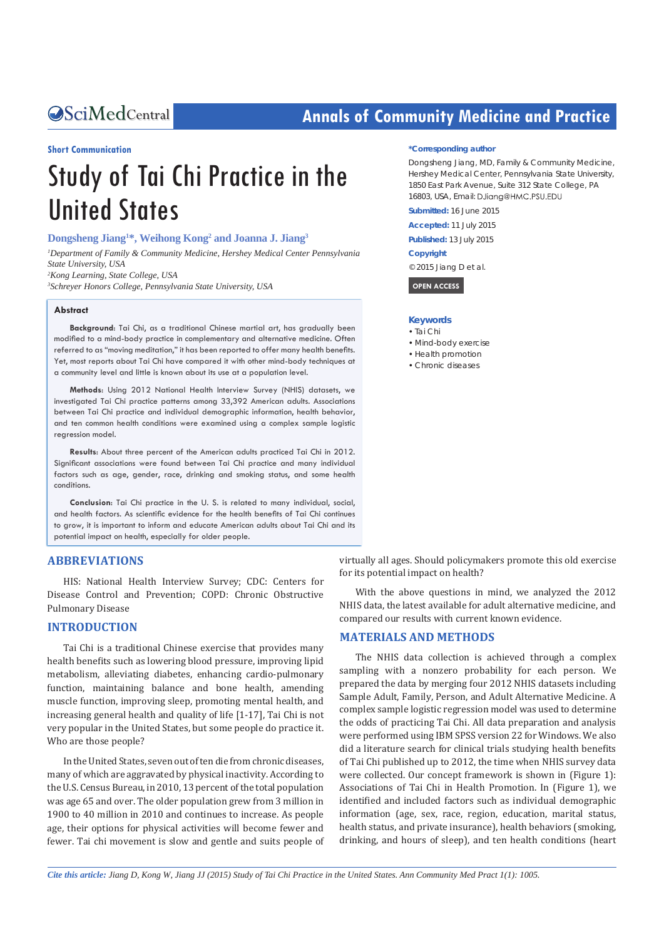# **CALCED Annals of Community Medicine and Practice**

#### **Short Communication**

# Study of Tai Chi Practice in the United States

#### **Dongsheng Jiang1 \*, Weihong Kong2 and Joanna J. Jiang3**

<sup>1</sup>Department of Family & Community Medicine, Hershey Medical Center Pennsylvania *State University, USA 2 Kong Learning, State College, USA 3 Schreyer Honors College, Pennsylvania State University, USA*

### **Abstract**

**Background**: Tai Chi, as a traditional Chinese martial art, has gradually been modified to a mind-body practice in complementary and alternative medicine. Often referred to as "moving meditation," it has been reported to offer many health benefits. Yet, most reports about Tai Chi have compared it with other mind-body techniques at a community level and little is known about its use at a population level.

**Methods**: Using 2012 National Health Interview Survey (NHIS) datasets, we investigated Tai Chi practice patterns among 33,392 American adults. Associations between Tai Chi practice and individual demographic information, health behavior, and ten common health conditions were examined using a complex sample logistic regression model.

**Results**: About three percent of the American adults practiced Tai Chi in 2012. Significant associations were found between Tai Chi practice and many individual factors such as age, gender, race, drinking and smoking status, and some health conditions.

**Conclusion**: Tai Chi practice in the U. S. is related to many individual, social, and health factors. As scientific evidence for the health benefits of Tai Chi continues to grow, it is important to inform and educate American adults about Tai Chi and its potential impact on health, especially for older people.

## **ABBREVIATIONS**

HIS: National Health Interview Survey; CDC: Centers for Disease Control and Prevention; COPD: Chronic Obstructive Pulmonary Disease

# **INTRODUCTION**

Tai Chi is a traditional Chinese exercise that provides many health benefits such as lowering blood pressure, improving lipid metabolism, alleviating diabetes, enhancing cardio-pulmonary function, maintaining balance and bone health, amending muscle function, improving sleep, promoting mental health, and increasing general health and quality of life [1-17], Tai Chi is not very popular in the United States, but some people do practice it. Who are those people?

In the United States, seven out of ten die from chronic diseases, many of which are aggravated by physical inactivity. According to the U.S. Census Bureau, in 2010, 13 percent of the total population was age 65 and over. The older population grew from 3 million in 1900 to 40 million in 2010 and continues to increase. As people age, their options for physical activities will become fewer and fewer. Tai chi movement is slow and gentle and suits people of

#### **\*Corresponding author**

Dongsheng Jiang, MD, Family & Community Medicine, Hershey Medical Center, Pennsylvania State University, 1850 East Park Avenue, Suite 312 State College, PA 16803, USA, Email: DJiang@HMC.PSU.EDU

**Submitted:** 16 June 2015

**Accepted:** 11 July 2015

**Published:** 13 July 2015

#### **Copyright**

© 2015 Jiang D et al.

 **OPEN ACCESS** 

#### **Keywords**

- • Tai Chi
- • Mind-body exercise
- Health promotion
- • Chronic diseases

virtually all ages. Should policymakers promote this old exercise for its potential impact on health?

With the above questions in mind, we analyzed the 2012 NHIS data, the latest available for adult alternative medicine, and compared our results with current known evidence.

#### **MATERIALS AND METHODS**

The NHIS data collection is achieved through a complex sampling with a nonzero probability for each person. We prepared the data by merging four 2012 NHIS datasets including Sample Adult, Family, Person, and Adult Alternative Medicine. A complex sample logistic regression model was used to determine the odds of practicing Tai Chi. All data preparation and analysis were performed using IBM SPSS version 22 for Windows. We also did a literature search for clinical trials studying health benefits of Tai Chi published up to 2012, the time when NHIS survey data were collected. Our concept framework is shown in (Figure 1): Associations of Tai Chi in Health Promotion. In (Figure 1), we identified and included factors such as individual demographic information (age, sex, race, region, education, marital status, health status, and private insurance), health behaviors (smoking, drinking, and hours of sleep), and ten health conditions (heart

*Cite this article: Jiang D, Kong W, Jiang JJ (2015) Study of Tai Chi Practice in the United States. Ann Community Med Pract 1(1): 1005.*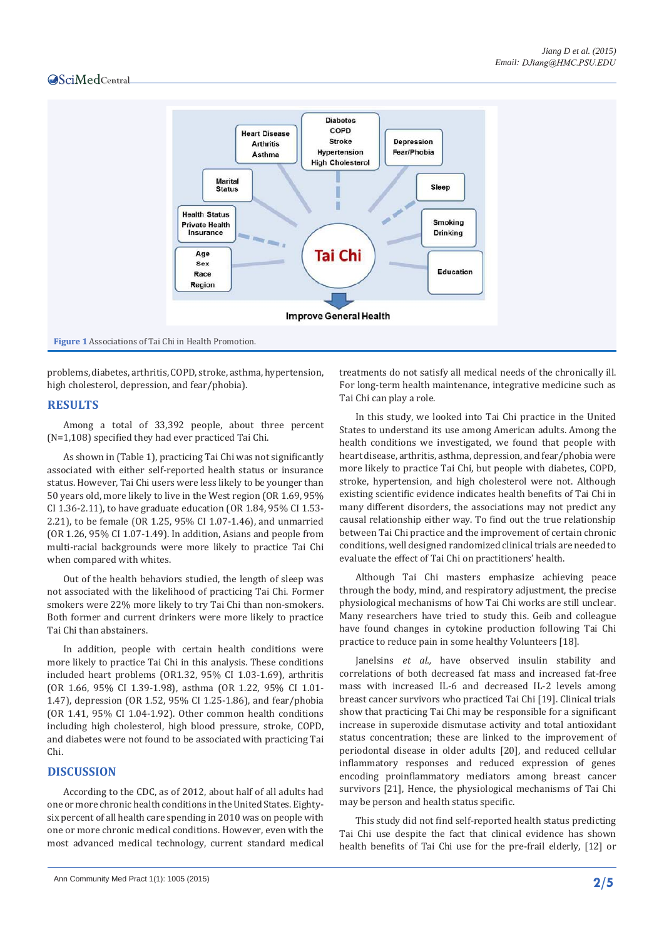

problems, diabetes, arthritis, COPD, stroke, asthma, hypertension, high cholesterol, depression, and fear/phobia).

#### **RESULTS**

Among a total of 33,392 people, about three percent (N=1,108) specified they had ever practiced Tai Chi.

As shown in (Table 1), practicing Tai Chi was not significantly associated with either self-reported health status or insurance status. However, Tai Chi users were less likely to be younger than 50 years old, more likely to live in the West region (OR 1.69, 95% CI 1.36-2.11), to have graduate education (OR 1.84, 95% CI 1.53- 2.21), to be female (OR 1.25, 95% CI 1.07-1.46), and unmarried (OR 1.26, 95% CI 1.07-1.49). In addition, Asians and people from multi-racial backgrounds were more likely to practice Tai Chi when compared with whites.

Out of the health behaviors studied, the length of sleep was not associated with the likelihood of practicing Tai Chi. Former smokers were 22% more likely to try Tai Chi than non-smokers. Both former and current drinkers were more likely to practice Tai Chi than abstainers.

In addition, people with certain health conditions were more likely to practice Tai Chi in this analysis. These conditions included heart problems (OR1.32, 95% CI 1.03-1.69), arthritis (OR 1.66, 95% CI 1.39-1.98), asthma (OR 1.22, 95% CI 1.01- 1.47), depression (OR 1.52, 95% CI 1.25-1.86), and fear/phobia (OR 1.41, 95% CI 1.04-1.92). Other common health conditions including high cholesterol, high blood pressure, stroke, COPD, and diabetes were not found to be associated with practicing Tai Chi.

# **DISCUSSION**

According to the CDC, as of 2012, about half of all adults had one or more chronic health conditions in the United States. Eightysix percent of all health care spending in 2010 was on people with one or more chronic medical conditions. However, even with the most advanced medical technology, current standard medical

treatments do not satisfy all medical needs of the chronically ill. For long-term health maintenance, integrative medicine such as Tai Chi can play a role.

In this study, we looked into Tai Chi practice in the United States to understand its use among American adults. Among the health conditions we investigated, we found that people with heart disease, arthritis, asthma, depression, and fear/phobia were more likely to practice Tai Chi, but people with diabetes, COPD, stroke, hypertension, and high cholesterol were not. Although existing scientific evidence indicates health benefits of Tai Chi in many different disorders, the associations may not predict any causal relationship either way. To find out the true relationship between Tai Chi practice and the improvement of certain chronic conditions, well designed randomized clinical trials are needed to evaluate the effect of Tai Chi on practitioners' health.

Although Tai Chi masters emphasize achieving peace through the body, mind, and respiratory adjustment, the precise physiological mechanisms of how Tai Chi works are still unclear. Many researchers have tried to study this. Geib and colleague have found changes in cytokine production following Tai Chi practice to reduce pain in some healthy Volunteers [18].

Janelsins *et al.,* have observed insulin stability and correlations of both decreased fat mass and increased fat-free mass with increased IL-6 and decreased IL-2 levels among breast cancer survivors who practiced Tai Chi [19]. Clinical trials show that practicing Tai Chi may be responsible for a significant increase in superoxide dismutase activity and total antioxidant status concentration; these are linked to the improvement of periodontal disease in older adults [20], and reduced cellular inflammatory responses and reduced expression of genes encoding proinflammatory mediators among breast cancer survivors [21], Hence, the physiological mechanisms of Tai Chi may be person and health status specific.

This study did not find self-reported health status predicting Tai Chi use despite the fact that clinical evidence has shown health benefits of Tai Chi use for the pre-frail elderly, [12] or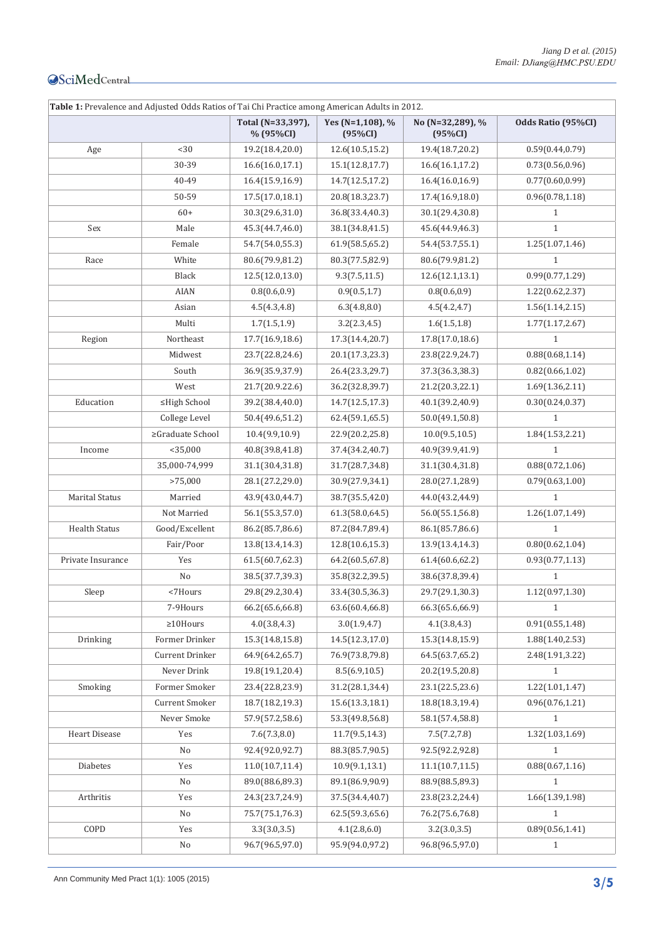| Table 1: Prevalence and Adjusted Odds Ratios of Tai Chi Practice among American Adults in 2012. |                       |                                |                             |                             |                    |  |  |
|-------------------------------------------------------------------------------------------------|-----------------------|--------------------------------|-----------------------------|-----------------------------|--------------------|--|--|
|                                                                                                 |                       | Total (N=33,397),<br>% (95%CI) | Yes (N=1,108), %<br>(95%CI) | No (N=32,289), %<br>(95%CI) | Odds Ratio (95%CI) |  |  |
| Age                                                                                             | $30$                  | 19.2(18.4,20.0)                | 12.6(10.5,15.2)             | 19.4(18.7,20.2)             | 0.59(0.44, 0.79)   |  |  |
|                                                                                                 | 30-39                 | 16.6(16.0,17.1)                | 15.1(12.8, 17.7)            | 16.6(16.1, 17.2)            | 0.73(0.56, 0.96)   |  |  |
|                                                                                                 | 40-49                 | 16.4(15.9,16.9)                | 14.7(12.5,17.2)             | 16.4(16.0,16.9)             | 0.77(0.60, 0.99)   |  |  |
|                                                                                                 | 50-59                 | 17.5(17.0, 18.1)               | 20.8(18.3,23.7)             | 17.4(16.9,18.0)             | 0.96(0.78, 1.18)   |  |  |
|                                                                                                 | $60+$                 | 30.3(29.6,31.0)                | 36.8(33.4,40.3)             | 30.1(29.4,30.8)             | $\mathbf{1}$       |  |  |
| Sex                                                                                             | Male                  | 45.3(44.7,46.0)                | 38.1(34.8,41.5)             | 45.6(44.9,46.3)             | $\mathbf{1}$       |  |  |
|                                                                                                 | Female                | 54.7(54.0,55.3)                | 61.9(58.5,65.2)             | 54.4(53.7,55.1)             | 1.25(1.07, 1.46)   |  |  |
| Race                                                                                            | White                 | 80.6(79.9,81.2)                | 80.3(77.5,82.9)             | 80.6(79.9,81.2)             | $\mathbf{1}$       |  |  |
|                                                                                                 | Black                 | 12.5(12.0,13.0)                | 9.3(7.5, 11.5)              | 12.6(12.1,13.1)             | 0.99(0.77, 1.29)   |  |  |
|                                                                                                 | <b>AIAN</b>           | 0.8(0.6, 0.9)                  | 0.9(0.5, 1.7)               | 0.8(0.6, 0.9)               | 1.22(0.62,2.37)    |  |  |
|                                                                                                 | Asian                 | 4.5(4.3, 4.8)                  | 6.3(4.8, 8.0)               | 4.5(4.2, 4.7)               | 1.56(1.14, 2.15)   |  |  |
|                                                                                                 | Multi                 | 1.7(1.5,1.9)                   | 3.2(2.3, 4.5)               | 1.6(1.5, 1.8)               | 1.77(1.17, 2.67)   |  |  |
| Region                                                                                          | Northeast             | 17.7(16.9,18.6)                | 17.3(14.4,20.7)             | 17.8(17.0,18.6)             | $\mathbf{1}$       |  |  |
|                                                                                                 | Midwest               | 23.7(22.8,24.6)                | 20.1(17.3,23.3)             | 23.8(22.9,24.7)             | 0.88(0.68, 1.14)   |  |  |
|                                                                                                 | South                 | 36.9(35.9,37.9)                | 26.4(23.3,29.7)             | 37.3(36.3,38.3)             | 0.82(0.66, 1.02)   |  |  |
|                                                                                                 | West                  | 21.7(20.9.22.6)                | 36.2(32.8,39.7)             | 21.2(20.3,22.1)             | 1.69(1.36, 2.11)   |  |  |
| Education                                                                                       | ≤High School          | 39.2(38.4,40.0)                | 14.7(12.5,17.3)             | 40.1(39.2,40.9)             | 0.30(0.24, 0.37)   |  |  |
|                                                                                                 | College Level         | 50.4(49.6,51.2)                | 62.4(59.1,65.5)             | 50.0(49.1,50.8)             | $\mathbf{1}$       |  |  |
|                                                                                                 | ≥Graduate School      | 10.4(9.9, 10.9)                | 22.9(20.2,25.8)             | 10.0(9.5, 10.5)             | 1.84(1.53, 2.21)   |  |  |
| Income                                                                                          | $<$ 35,000            | 40.8(39.8,41.8)                | 37.4(34.2,40.7)             | 40.9(39.9,41.9)             | $\mathbf{1}$       |  |  |
|                                                                                                 | 35,000-74,999         | 31.1(30.4,31.8)                | 31.7(28.7,34.8)             | 31.1(30.4,31.8)             | 0.88(0.72, 1.06)   |  |  |
|                                                                                                 | >75,000               | 28.1(27.2,29.0)                | 30.9(27.9,34.1)             | 28.0(27.1,28.9)             | 0.79(0.63, 1.00)   |  |  |
| <b>Marital Status</b>                                                                           | Married               | 43.9(43.0,44.7)                | 38.7(35.5,42.0)             | 44.0(43.2,44.9)             | $\mathbf{1}$       |  |  |
|                                                                                                 | Not Married           | 56.1(55.3,57.0)                | 61.3(58.0,64.5)             | 56.0(55.1,56.8)             | 1.26(1.07, 1.49)   |  |  |
| <b>Health Status</b>                                                                            | Good/Excellent        | 86.2(85.7,86.6)                | 87.2(84.7,89.4)             | 86.1(85.7,86.6)             | $\mathbf{1}$       |  |  |
|                                                                                                 | Fair/Poor             | 13.8(13.4,14.3)                | 12.8(10.6,15.3)             | 13.9(13.4,14.3)             | 0.80(0.62, 1.04)   |  |  |
| Private Insurance                                                                               | Yes                   | 61.5(60.7, 62.3)               | 64.2(60.5,67.8)             | 61.4(60.6,62.2)             | 0.93(0.77, 1.13)   |  |  |
|                                                                                                 | No                    | 38.5(37.7,39.3)                | 35.8(32.2,39.5)             | 38.6(37.8,39.4)             | $\mathbf{1}$       |  |  |
| Sleep                                                                                           | <7Hours               | 29.8(29.2,30.4)                | 33.4(30.5,36.3)             | 29.7(29.1,30.3)             | 1.12(0.97, 1.30)   |  |  |
|                                                                                                 | 7-9Hours              | 66.2(65.6,66.8)                | 63.6(60.4,66.8)             | 66.3(65.6,66.9)             | $\mathbf{1}$       |  |  |
|                                                                                                 | $\geq$ 10Hours        | 4.0(3.8, 4.3)                  | 3.0(1.9, 4.7)               | 4.1(3.8, 4.3)               | 0.91(0.55, 1.48)   |  |  |
| Drinking                                                                                        | Former Drinker        | 15.3(14.8,15.8)                | 14.5(12.3,17.0)             | 15.3(14.8,15.9)             | 1.88(1.40, 2.53)   |  |  |
|                                                                                                 | Current Drinker       | 64.9(64.2,65.7)                | 76.9(73.8,79.8)             | 64.5(63.7,65.2)             | 2.48(1.91,3.22)    |  |  |
|                                                                                                 | Never Drink           | 19.8(19.1,20.4)                | 8.5(6.9, 10.5)              | 20.2(19.5,20.8)             | $\mathbf{1}$       |  |  |
| Smoking                                                                                         | Former Smoker         | 23.4(22.8,23.9)                | 31.2(28.1,34.4)             | 23.1(22.5,23.6)             | 1.22(1.01, 1.47)   |  |  |
|                                                                                                 | <b>Current Smoker</b> | 18.7(18.2,19.3)                | 15.6(13.3, 18.1)            | 18.8(18.3,19.4)             | 0.96(0.76, 1.21)   |  |  |
|                                                                                                 | Never Smoke           | 57.9(57.2,58.6)                | 53.3(49.8,56.8)             | 58.1(57.4,58.8)             | $\mathbf{1}$       |  |  |
| <b>Heart Disease</b>                                                                            | Yes                   | 7.6(7.3, 8.0)                  | 11.7(9.5, 14.3)             | 7.5(7.2, 7.8)               | 1.32(1.03, 1.69)   |  |  |
|                                                                                                 | No                    | 92.4(92.0,92.7)                | 88.3(85.7,90.5)             | 92.5(92.2,92.8)             | $\mathbf{1}$       |  |  |
| Diabetes                                                                                        | Yes                   | 11.0(10.7, 11.4)               | 10.9(9.1, 13.1)             | 11.1(10.7, 11.5)            | 0.88(0.67, 1.16)   |  |  |
|                                                                                                 | No                    | 89.0(88.6,89.3)                | 89.1(86.9,90.9)             | 88.9(88.5,89.3)             | $\mathbf{1}$       |  |  |
| Arthritis                                                                                       | Yes                   | 24.3(23.7,24.9)                | 37.5(34.4,40.7)             | 23.8(23.2,24.4)             | 1.66(1.39,1.98)    |  |  |
|                                                                                                 | No                    | 75.7(75.1,76.3)                | 62.5(59.3,65.6)             | 76.2(75.6,76.8)             | $\mathbf{1}$       |  |  |
| COPD                                                                                            | Yes                   | 3.3(3.0,3.5)                   | 4.1(2.8,6.0)                | 3.2(3.0, 3.5)               | 0.89(0.56, 1.41)   |  |  |
|                                                                                                 | No                    | 96.7(96.5,97.0)                | 95.9(94.0,97.2)             | 96.8(96.5,97.0)             | $\mathbf{1}$       |  |  |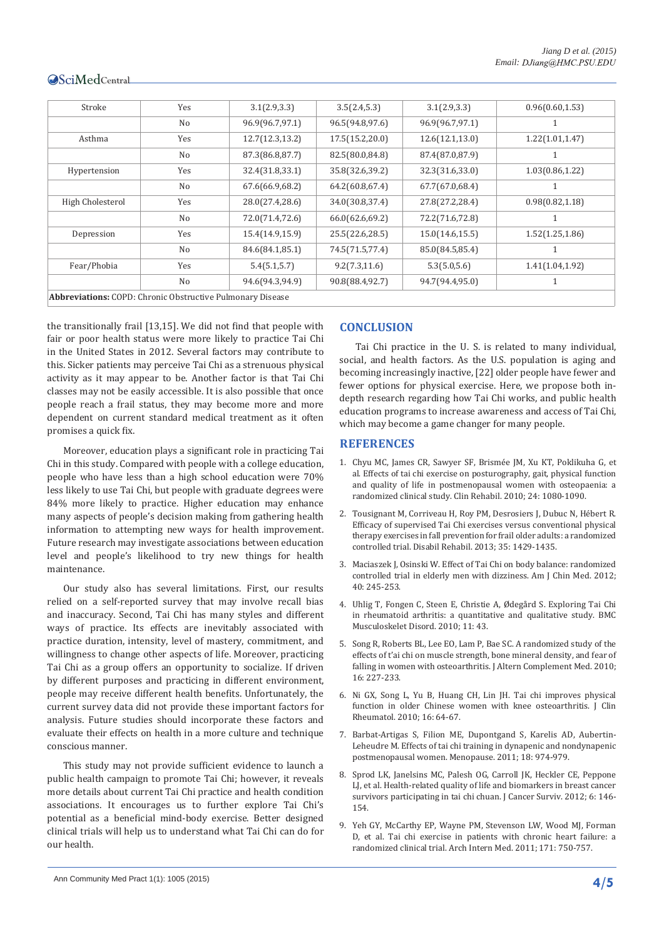| Stroke                                                            | Yes            | 3.1(2.9,3.3)     | 3.5(2.4, 5.3)   | 3.1(2.9, 3.3)    | 0.96(0.60, 1.53) |
|-------------------------------------------------------------------|----------------|------------------|-----------------|------------------|------------------|
|                                                                   | N <sub>0</sub> | 96.9(96.7,97.1)  | 96.5(94.8,97.6) | 96.9(96.7,97.1)  |                  |
| Asthma                                                            | Yes            | 12.7(12.3, 13.2) | 17.5(15.2,20.0) | 12.6(12.1, 13.0) | 1.22(1.01, 1.47) |
|                                                                   | N <sub>0</sub> | 87.3(86.8,87.7)  | 82.5(80.0,84.8) | 87.4(87.0,87.9)  |                  |
| Hypertension                                                      | Yes            | 32.4(31.8,33.1)  | 35.8(32.6,39.2) | 32.3(31.6,33.0)  | 1.03(0.86, 1.22) |
|                                                                   | No             | 67.6(66.9,68.2)  | 64.2(60.8,67.4) | 67.7(67.0,68.4)  |                  |
| High Cholesterol                                                  | Yes            | 28.0(27.4,28.6)  | 34.0(30.8,37.4) | 27.8(27.2,28.4)  | 0.98(0.82, 1.18) |
|                                                                   | N <sub>0</sub> | 72.0(71.4,72.6)  | 66.0(62.6,69.2) | 72.2(71.6,72.8)  |                  |
| Depression                                                        | Yes            | 15.4(14.9,15.9)  | 25.5(22.6,28.5) | 15.0(14.6, 15.5) | 1.52(1.25, 1.86) |
|                                                                   | N <sub>o</sub> | 84.6(84.1,85.1)  | 74.5(71.5,77.4) | 85.0(84.5,85.4)  |                  |
| Fear/Phobia                                                       | Yes            | 5.4(5.1, 5.7)    | 9.2(7.3, 11.6)  | 5.3(5.0, 5.6)    | 1.41(1.04, 1.92) |
|                                                                   | No             | 94.6(94.3,94.9)  | 90.8(88.4,92.7) | 94.7(94.4,95.0)  |                  |
| <b>Abbreviations:</b> COPD: Chronic Obstructive Pulmonary Disease |                |                  |                 |                  |                  |

the transitionally frail [13,15]. We did not find that people with fair or poor health status were more likely to practice Tai Chi in the United States in 2012. Several factors may contribute to this. Sicker patients may perceive Tai Chi as a strenuous physical activity as it may appear to be. Another factor is that Tai Chi classes may not be easily accessible. It is also possible that once people reach a frail status, they may become more and more dependent on current standard medical treatment as it often promises a quick fix.

Moreover, education plays a significant role in practicing Tai Chi in this study. Compared with people with a college education, people who have less than a high school education were 70% less likely to use Tai Chi, but people with graduate degrees were 84% more likely to practice. Higher education may enhance many aspects of people's decision making from gathering health information to attempting new ways for health improvement. Future research may investigate associations between education level and people's likelihood to try new things for health maintenance.

Our study also has several limitations. First, our results relied on a self-reported survey that may involve recall bias and inaccuracy. Second, Tai Chi has many styles and different ways of practice. Its effects are inevitably associated with practice duration, intensity, level of mastery, commitment, and willingness to change other aspects of life. Moreover, practicing Tai Chi as a group offers an opportunity to socialize. If driven by different purposes and practicing in different environment, people may receive different health benefits. Unfortunately, the current survey data did not provide these important factors for analysis. Future studies should incorporate these factors and evaluate their effects on health in a more culture and technique conscious manner.

This study may not provide sufficient evidence to launch a public health campaign to promote Tai Chi; however, it reveals more details about current Tai Chi practice and health condition associations. It encourages us to further explore Tai Chi's potential as a beneficial mind-body exercise. Better designed clinical trials will help us to understand what Tai Chi can do for our health.

# **CONCLUSION**

Tai Chi practice in the U. S. is related to many individual, social, and health factors. As the U.S. population is aging and becoming increasingly inactive, [22] older people have fewer and fewer options for physical exercise. Here, we propose both indepth research regarding how Tai Chi works, and public health education programs to increase awareness and access of Tai Chi, which may become a game changer for many people.

# **REFERENCES**

- 1. [Chyu MC, James CR, Sawyer SF, Brismée JM, Xu KT, Poklikuha G, et](http://www.ncbi.nlm.nih.gov/pubmed/20702512)  [al. Effects of tai chi exercise on posturography, gait, physical function](http://www.ncbi.nlm.nih.gov/pubmed/20702512)  [and quality of life in postmenopausal women with osteopaenia: a](http://www.ncbi.nlm.nih.gov/pubmed/20702512)  [randomized clinical study. Clin Rehabil. 2010; 24: 1080-1090.](http://www.ncbi.nlm.nih.gov/pubmed/20702512)
- 2. [Tousignant M, Corriveau H, Roy PM, Desrosiers J, Dubuc N, Hébert R.](http://www.ncbi.nlm.nih.gov/pubmed/23167499)  [Efficacy of supervised Tai Chi exercises versus conventional physical](http://www.ncbi.nlm.nih.gov/pubmed/23167499)  [therapy exercises in fall prevention for frail older adults: a randomized](http://www.ncbi.nlm.nih.gov/pubmed/23167499)  [controlled trial. Disabil Rehabil. 2013; 35: 1429-1435.](http://www.ncbi.nlm.nih.gov/pubmed/23167499)
- 3. [Maciaszek J, Osinski W. Effect of Tai Chi on body balance: randomized](http://www.ncbi.nlm.nih.gov/pubmed/22419420)  [controlled trial in elderly men with dizziness. Am J Chin Med. 2012;](http://www.ncbi.nlm.nih.gov/pubmed/22419420)  [40: 245-253.](http://www.ncbi.nlm.nih.gov/pubmed/22419420)
- 4. [Uhlig T, Fongen C, Steen E, Christie A, Ødegård S. Exploring Tai Chi](http://www.ncbi.nlm.nih.gov/pubmed/20205741)  [in rheumatoid arthritis: a quantitative and qualitative study. BMC](http://www.ncbi.nlm.nih.gov/pubmed/20205741)  [Musculoskelet Disord. 2010; 11: 43.](http://www.ncbi.nlm.nih.gov/pubmed/20205741)
- 5. [Song R, Roberts BL, Lee EO, Lam P, Bae SC. A randomized study of the](http://www.ncbi.nlm.nih.gov/pubmed/20192907)  [effects of t'ai chi on muscle strength, bone mineral density, and fear of](http://www.ncbi.nlm.nih.gov/pubmed/20192907)  falling in women with osteoarthritis. J Altern Complement Med. 2010; [16: 227-233.](http://www.ncbi.nlm.nih.gov/pubmed/20192907)
- 6. [Ni GX, Song L, Yu B, Huang CH, Lin JH. Tai chi improves physical](http://www.ncbi.nlm.nih.gov/pubmed/20130482)  [function in older Chinese women with knee osteoarthritis. J Clin](http://www.ncbi.nlm.nih.gov/pubmed/20130482)  [Rheumatol. 2010; 16: 64-67.](http://www.ncbi.nlm.nih.gov/pubmed/20130482)
- 7. [Barbat-Artigas S, Filion ME, Dupontgand S, Karelis AD, Aubertin-](http://www.ncbi.nlm.nih.gov/pubmed/21555960)[Leheudre M. Effects of tai chi training in dynapenic and nondynapenic](http://www.ncbi.nlm.nih.gov/pubmed/21555960)  [postmenopausal women. Menopause. 2011; 18: 974-979.](http://www.ncbi.nlm.nih.gov/pubmed/21555960)
- 8. [Sprod LK, Janelsins MC, Palesh OG, Carroll JK, Heckler CE, Peppone](http://www.ncbi.nlm.nih.gov/pubmed/22160628)  [LJ, et al. Health-related quality of life and biomarkers in breast cancer](http://www.ncbi.nlm.nih.gov/pubmed/22160628)  [survivors participating in tai chi chuan. J Cancer Surviv. 2012; 6: 146-](http://www.ncbi.nlm.nih.gov/pubmed/22160628) [154.](http://www.ncbi.nlm.nih.gov/pubmed/22160628)
- 9. [Yeh GY, McCarthy EP, Wayne PM, Stevenson LW, Wood MJ, Forman](http://www.ncbi.nlm.nih.gov/pubmed/21518942)  [D, et al. Tai chi exercise in patients with chronic heart failure: a](http://www.ncbi.nlm.nih.gov/pubmed/21518942)  [randomized clinical trial. Arch Intern Med. 2011; 171: 750-757.](http://www.ncbi.nlm.nih.gov/pubmed/21518942)